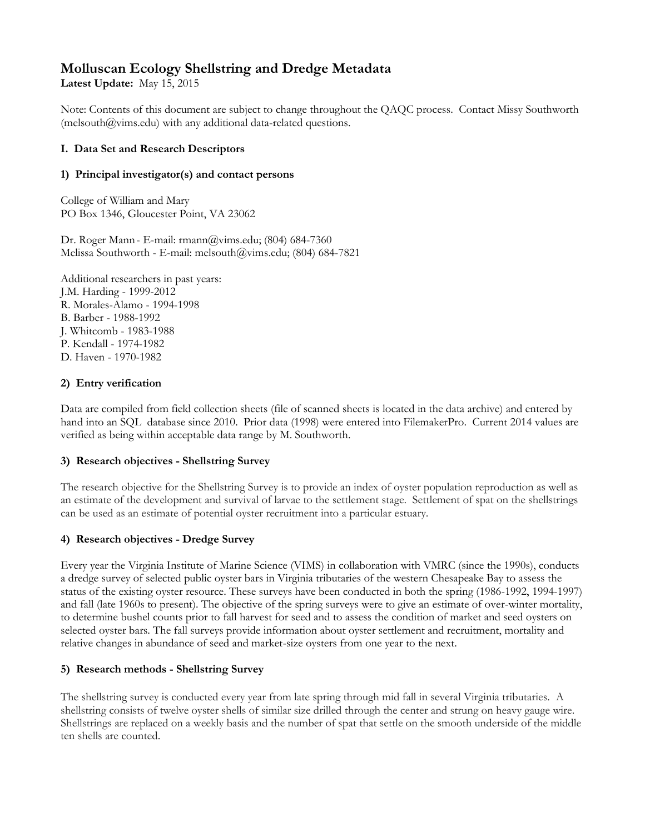# **Molluscan Ecology Shellstring and Dredge Metadata**

**Latest Update:** May 15, 2015

Note: Contents of this document are subject to change throughout the QAQC process. Contact Missy Southworth (melsouth $@vims.edu)$  with any additional data-related questions.

## **I. Data Set and Research Descriptors**

## **1) Principal investigator(s) and contact persons**

College of William and Mary PO Box 1346, Gloucester Point, VA 23062

Dr. Roger Mann- E-mail: rmann@vims.edu; (804) 684-7360 Melissa Southworth - E-mail: melsouth@vims.edu; (804) 684-7821

Additional researchers in past years: J.M. Harding - 1999-2012 R. Morales-Alamo - 1994-1998 B. Barber - 1988-1992 J. Whitcomb - 1983-1988 P. Kendall - 1974-1982 D. Haven - 1970-1982

# **2) Entry verification**

Data are compiled from field collection sheets (file of scanned sheets is located in the data archive) and entered by hand into an SQL database since 2010. Prior data (1998) were entered into FilemakerPro. Current 2014 values are verified as being within acceptable data range by M. Southworth.

## **3) Research objectives - Shellstring Survey**

The research objective for the Shellstring Survey is to provide an index of oyster population reproduction as well as an estimate of the development and survival of larvae to the settlement stage. Settlement of spat on the shellstrings can be used as an estimate of potential oyster recruitment into a particular estuary.

# **4) Research objectives - Dredge Survey**

Every year the Virginia Institute of Marine Science (VIMS) in collaboration with VMRC (since the 1990s), conducts a dredge survey of selected public oyster bars in Virginia tributaries of the western Chesapeake Bay to assess the status of the existing oyster resource. These surveys have been conducted in both the spring (1986-1992, 1994-1997) and fall (late 1960s to present). The objective of the spring surveys were to give an estimate of over-winter mortality, to determine bushel counts prior to fall harvest for seed and to assess the condition of market and seed oysters on selected oyster bars. The fall surveys provide information about oyster settlement and recruitment, mortality and relative changes in abundance of seed and market-size oysters from one year to the next.

## **5) Research methods - Shellstring Survey**

The shellstring survey is conducted every year from late spring through mid fall in several Virginia tributaries. A shellstring consists of twelve oyster shells of similar size drilled through the center and strung on heavy gauge wire. Shellstrings are replaced on a weekly basis and the number of spat that settle on the smooth underside of the middle ten shells are counted.